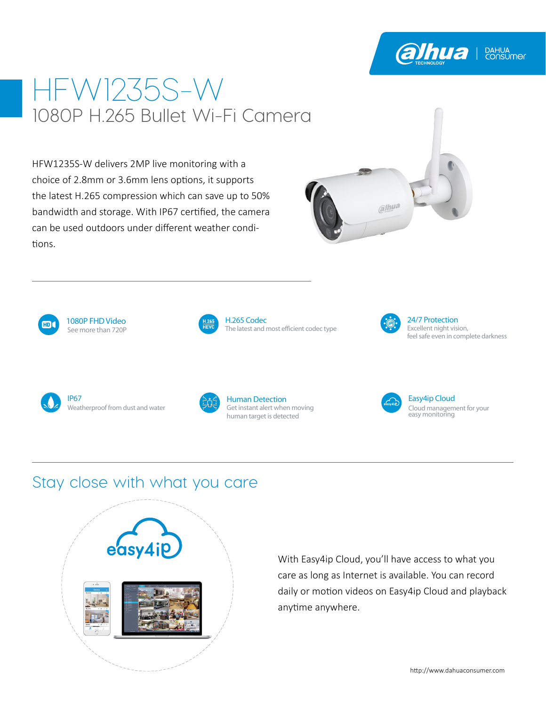# HFW1235S-W 1080P H.265 Bullet Wi-Fi Camera

HFW1235S-W delivers 2MP live monitoring with a choice of 2.8mm or 3.6mm lens options, it supports the latest H.265 compression which can save up to 50% bandwidth and storage. With IP67 certified, the camera can be used outdoors under different weather conditions.





See more than 720P 1080P FHD Video



The latest and most efficient codec type H.265 Codec



Excellent night vision, feel safe even in complete darkness 24/7 Protection

**alhua** | BAHUA



Weatherproof from dust and water IP67



Get instant alert when moving human target is detected Human Detection



Cloud management for your easy monitoring Easy4ip Cloud

### Stay close with what you care



With Easy4ip Cloud, you'll have access to what you care as long as Internet is available. You can record daily or motion videos on Easy4ip Cloud and playback anytime anywhere.